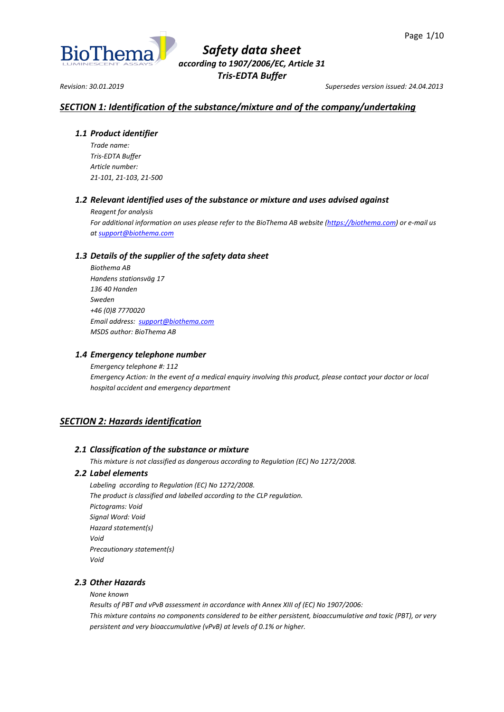

*Revision: 30.01.2019 Supersedes version issued: 24.04.2013*

# *SECTION 1: Identification of the substance/mixture and of the company/undertaking*

# *1.1 Product identifier*

*Trade name: Tris-EDTA Buffer Article number: 21-101, 21-103, 21-500*

# *1.2 Relevant identified uses of the substance or mixture and uses advised against*

*Reagent for analysis*

*For additional information on uses please refer to the BioThema AB website [\(https://biothema.com\)](https://biothema.com/) or e-mail us a[t support@biothema.com](mailto:support@biothema.com)*

# *1.3 Details of the supplier of the safety data sheet*

*Biothema AB Handens stationsväg 17 136 40 Handen Sweden +46 (0)8 7770020 Email address: [support@biothema.com](mailto:support@biothema.com) MSDS author: BioThema AB*

# *1.4 Emergency telephone number*

*Emergency telephone #: 112 Emergency Action: In the event of a medical enquiry involving this product, please contact your doctor or local hospital accident and emergency department*

# *SECTION 2: Hazards identification*

# *2.1 Classification of the substance or mixture*

*This mixture is not classified as dangerous according to Regulation (EC) No 1272/2008.*

# *2.2 Label elements*

*Labeling according to Regulation (EC) No 1272/2008. The product is classified and labelled according to the CLP regulation. Pictograms: Void Signal Word: Void Hazard statement(s) Void Precautionary statement(s) Void*

# *2.3 Other Hazards*

*None known*

*Results of PBT and vPvB assessment in accordance with Annex XIII of (EC) No 1907/2006: This mixture contains no components considered to be either persistent, bioaccumulative and toxic (PBT), or very persistent and very bioaccumulative (vPvB) at levels of 0.1% or higher.*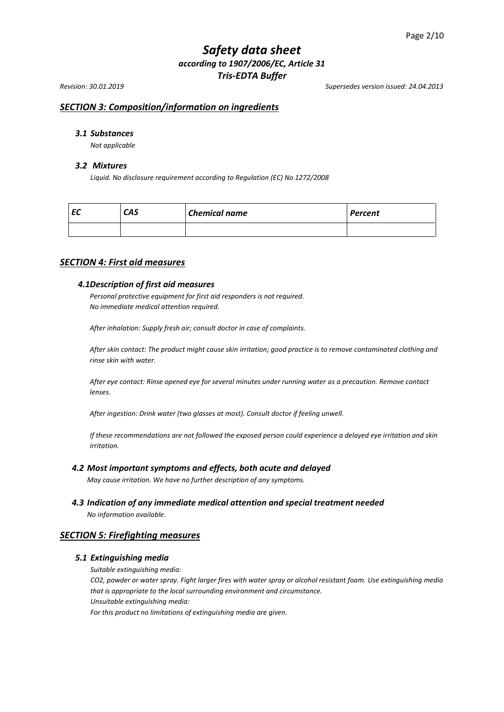*Revision: 30.01.2019 Supersedes version issued: 24.04.2013*

# *SECTION 3: Composition/information on ingredients*

# *3.1 Substances*

*Not applicable*

### *3.2 Mixtures*

*Liquid. No disclosure requirement according to Regulation (EC) No 1272/2008*

| --<br>c | <b>CAS</b> | <b>Chemical name</b> | <b>Percent</b> |
|---------|------------|----------------------|----------------|
|         |            |                      |                |

# *SECTION 4: First aid measures*

## *4.1Description of first aid measures*

*Personal protective equipment for first aid responders is not required. No immediate medical attention required.*

*After inhalation: Supply fresh air; consult doctor in case of complaints.*

*After skin contact: The product might cause skin irritation; good practice is to remove contaminated clothing and rinse skin with water.*

*After eye contact: Rinse opened eye for several minutes under running water as a precaution. Remove contact lenses.*

*After ingestion: Drink water (two glasses at most). Consult doctor if feeling unwell.*

*If these recommendations are not followed the exposed person could experience a delayed eye irritation and skin irritation.*

### *4.2 Most important symptoms and effects, both acute and delayed*

*May cause irritation. We have no further description of any symptoms.*

*4.3 Indication of any immediate medical attention and special treatment needed*

*No information available.*

# *SECTION 5: Firefighting measures*

#### *5.1 Extinguishing media*

*Suitable extinguishing media:*

*CO2, powder or water spray. Fight larger fires with water spray or alcohol resistant foam. Use extinguishing media that is appropriate to the local surrounding environment and circumstance. Unsuitable extinguishing media:*

*For this product no limitations of extinguishing media are given.*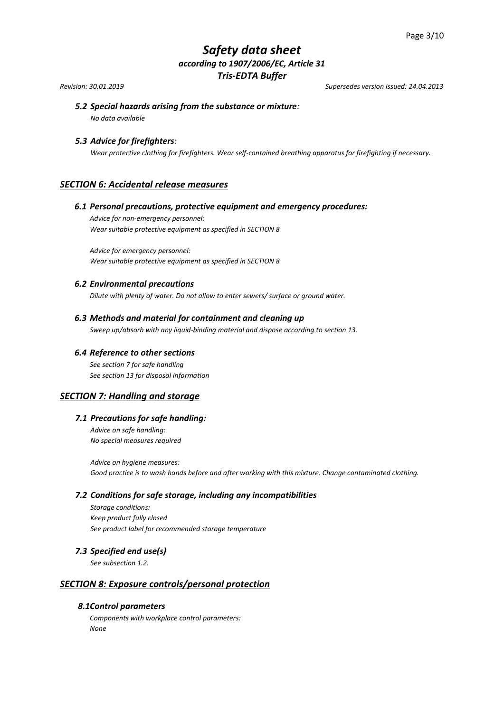*Revision: 30.01.2019 Supersedes version issued: 24.04.2013*

# *5.2 Special hazards arising from the substance or mixture:*

*No data available*

# *5.3 Advice for firefighters:*

*Wear protective clothing for firefighters. Wear self-contained breathing apparatus for firefighting if necessary.*

# *SECTION 6: Accidental release measures*

# *6.1 Personal precautions, protective equipment and emergency procedures:*

*Advice for non-emergency personnel: Wear suitable protective equipment as specified in SECTION 8*

*Advice for emergency personnel: Wear suitable protective equipment as specified in SECTION 8* 

# *6.2 Environmental precautions*

*Dilute with plenty of water. Do not allow to enter sewers/ surface or ground water.*

## *6.3 Methods and material for containment and cleaning up*

*Sweep up/absorb with any liquid-binding material and dispose according to section 13.*

## *6.4 Reference to other sections*

*See section 7 for safe handling See section 13 for disposal information*

# *SECTION 7: Handling and storage*

## *7.1 Precautions for safe handling:*

*Advice on safe handling: No special measures required*

*Advice on hygiene measures: Good practice is to wash hands before and after working with this mixture. Change contaminated clothing.*

## *7.2 Conditions for safe storage, including any incompatibilities*

*Storage conditions: Keep product fully closed See product label for recommended storage temperature* 

## *7.3 Specified end use(s)*

*See subsection 1.2.*

# *SECTION 8: Exposure controls/personal protection*

# *8.1Control parameters*

*Components with workplace control parameters: None*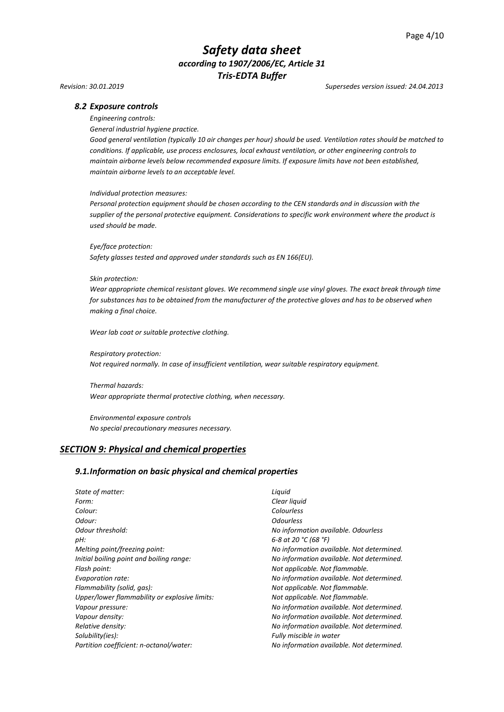#### *Revision: 30.01.2019 Supersedes version issued: 24.04.2013*

### *8.2 Exposure controls*

*Engineering controls:*

*General industrial hygiene practice.*

*Good general ventilation (typically 10 air changes per hour) should be used. Ventilation rates should be matched to conditions. If applicable, use process enclosures, local exhaust ventilation, or other engineering controls to maintain airborne levels below recommended exposure limits. If exposure limits have not been established, maintain airborne levels to an acceptable level.*

#### *Individual protection measures:*

*Personal protection equipment should be chosen according to the CEN standards and in discussion with the supplier of the personal protective equipment. Considerations to specific work environment where the product is used should be made.*

*Eye/face protection:*

*Safety glasses tested and approved under standards such as EN 166(EU).*

#### *Skin protection:*

*Wear appropriate chemical resistant gloves. We recommend single use vinyl gloves. The exact break through time for substances has to be obtained from the manufacturer of the protective gloves and has to be observed when making a final choice.*

*Wear lab coat or suitable protective clothing.*

*Respiratory protection: Not required normally. In case of insufficient ventilation, wear suitable respiratory equipment.*

*Thermal hazards: Wear appropriate thermal protective clothing, when necessary.*

*Environmental exposure controls No special precautionary measures necessary.*

## *SECTION 9: Physical and chemical properties*

#### *9.1.Information on basic physical and chemical properties*

*State of matter: Liquid Form: Clear liquid Colour: Colourless Odour: Odourless Odour threshold: No information available. Odourless pH: 6-8 at 20 °C (68 °F) Melting point/freezing point: No information available. Not determined. Initial boiling point and boiling range: No information available. Not determined. Flash point: Not applicable. Not flammable. Evaporation rate: No information available. Not determined. Flammability (solid, gas): Not applicable. Not flammable. Upper/lower flammability or explosive limits: Not applicable. Not flammable. Vapour pressure: No information available. Not determined. Vapour density: No information available. Not determined. Relative density: No information available. Not determined. Solubility(ies): Fully miscible in water Partition coefficient: n-octanol/water: No information available. Not determined.*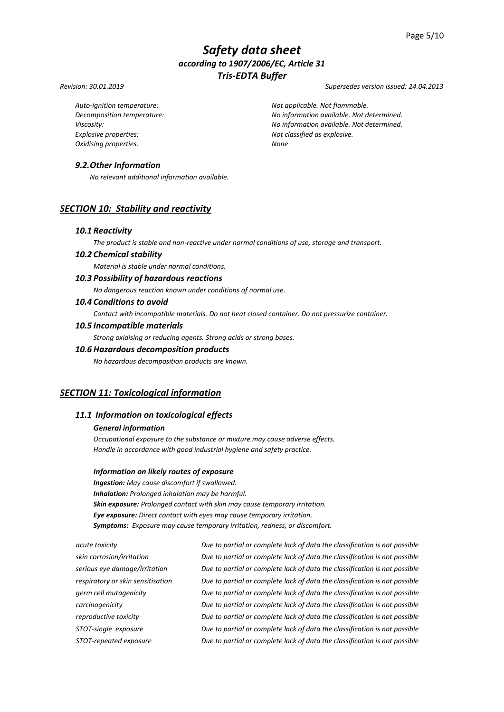#### *Revision: 30.01.2019 Supersedes version issued: 24.04.2013*

*Explosive properties: Not classified as explosive. Oxidising properties. None*

*Auto-ignition temperature: Not applicable. Not flammable. Decomposition temperature: No information available. Not determined. Viscosity: No information available. Not determined.*

# *9.2.Other Information*

*No relevant additional information available.*

# *SECTION 10: Stability and reactivity*

#### *10.1 Reactivity*

*The product is stable and non-reactive under normal conditions of use, storage and transport.*

## *10.2 Chemical stability*

*Material is stable under normal conditions.*

# *10.3 Possibility of hazardous reactions*

*No dangerous reaction known under conditions of normal use.*

## *10.4 Conditions to avoid*

*Contact with incompatible materials. Do not heat closed container. Do not pressurize container.*

#### *10.5 Incompatible materials*

*Strong oxidising or reducing agents. Strong acids or strong bases.*

# *10.6 Hazardous decomposition products*

*No hazardous decomposition products are known.*

# *SECTION 11: Toxicological information*

# *11.1 Information on toxicological effects*

## *General information*

*Occupational exposure to the substance or mixture may cause adverse effects. Handle in accordance with good industrial hygiene and safety practice.*

#### *Information on likely routes of exposure*

*Ingestion: May cause discomfort if swallowed. Inhalation: Prolonged inhalation may be harmful. Skin exposure: Prolonged contact with skin may cause temporary irritation. Eye exposure: Direct contact with eyes may cause temporary irritation. Symptoms: Exposure may cause temporary irritation, redness, or discomfort.*

*acute toxicity Due to partial or complete lack of data the classification is not possible skin corrosion/irritation Due to partial or complete lack of data the classification is not possible serious eye damage/irritation Due to partial or complete lack of data the classification is not possible respiratory or skin sensitisation Due to partial or complete lack of data the classification is not possible germ cell mutagenicity Due to partial or complete lack of data the classification is not possible carcinogenicity Due to partial or complete lack of data the classification is not possible reproductive toxicity Due to partial or complete lack of data the classification is not possible STOT-single exposure Due to partial or complete lack of data the classification is not possible STOT-repeated exposure Due to partial or complete lack of data the classification is not possible*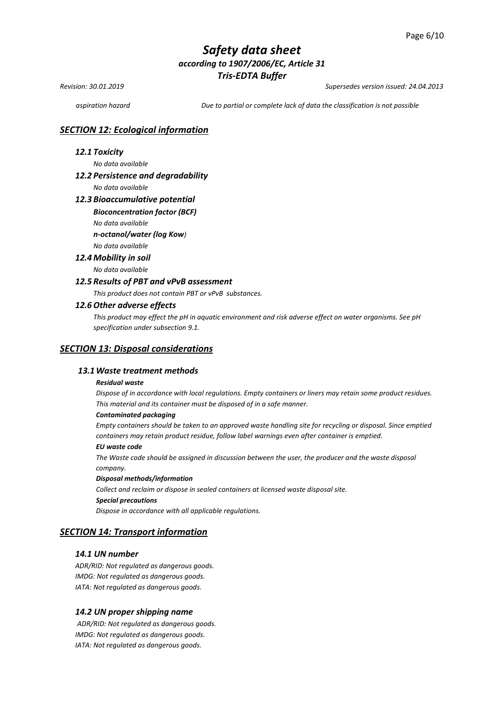*Revision: 30.01.2019 Supersedes version issued: 24.04.2013*

*aspiration hazard Due to partial or complete lack of data the classification is not possible*

## *SECTION 12: Ecological information*

## *12.1 Toxicity*

*No data available* 

## *12.2 Persistence and degradability*

*No data available*

### *12.3 Bioaccumulative potential*

#### *Bioconcentration factor (BCF)*

*No data available* 

*n-octanol/water (log Kow)*

## *No data available*

# *12.4 Mobility in soil*

*No data available* 

## *12.5 Results of PBT and vPvB assessment*

*This product does not contain PBT or vPvB substances.*

### *12.6 Other adverse effects*

*This product may effect the pH in aquatic environment and risk adverse effect on water organisms. See pH specification under subsection 9.1.*

### *SECTION 13: Disposal considerations*

## *13.1Waste treatment methods*

#### *Residual waste*

*Dispose of in accordance with local regulations. Empty containers or liners may retain some product residues. This material and its container must be disposed of in a safe manner.*

#### *Contaminated packaging*

*Empty containers should be taken to an approved waste handling site for recycling or disposal. Since emptied containers may retain product residue, follow label warnings even after container is emptied.*

### *EU waste code*

*The Waste code should be assigned in discussion between the user, the producer and the waste disposal company.*

#### *Disposal methods/information*

*Collect and reclaim or dispose in sealed containers at licensed waste disposal site. Special precautions*

*Dispose in accordance with all applicable regulations.*

# *SECTION 14: Transport information*

## *14.1 UN number*

*ADR/RID: Not regulated as dangerous goods. IMDG: Not regulated as dangerous goods. IATA: Not regulated as dangerous goods.*

#### *14.2 UN proper shipping name*

*ADR/RID: Not regulated as dangerous goods. IMDG: Not regulated as dangerous goods. IATA: Not regulated as dangerous goods.*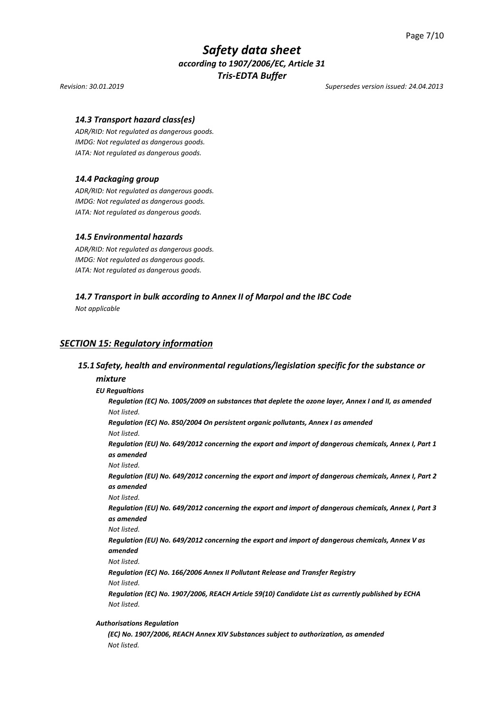*Revision: 30.01.2019 Supersedes version issued: 24.04.2013*

## *14.3 Transport hazard class(es)*

*ADR/RID: Not regulated as dangerous goods. IMDG: Not regulated as dangerous goods. IATA: Not regulated as dangerous goods.*

## *14.4 Packaging group*

*ADR/RID: Not regulated as dangerous goods. IMDG: Not regulated as dangerous goods. IATA: Not regulated as dangerous goods.*

## *14.5 Environmental hazards*

*ADR/RID: Not regulated as dangerous goods. IMDG: Not regulated as dangerous goods. IATA: Not regulated as dangerous goods.*

### *14.7 Transport in bulk according to Annex II of Marpol and the IBC Code*

*Not applicable*

# *SECTION 15: Regulatory information*

### *15.1 Safety, health and environmental regulations/legislation specific for the substance or*

#### *mixture*

# *EU Regualtions*

*Regulation (EC) No. 1005/2009 on substances that deplete the ozone layer, Annex I and II, as amended Not listed.*

*Regulation (EC) No. 850/2004 On persistent organic pollutants, Annex I as amended Not listed.*

*Regulation (EU) No. 649/2012 concerning the export and import of dangerous chemicals, Annex I, Part 1 as amended* 

*Not listed.*

*Regulation (EU) No. 649/2012 concerning the export and import of dangerous chemicals, Annex I, Part 2 as amended*

*Not listed.*

*Regulation (EU) No. 649/2012 concerning the export and import of dangerous chemicals, Annex I, Part 3 as amended*

*Not listed.*

*Regulation (EU) No. 649/2012 concerning the export and import of dangerous chemicals, Annex V as amended*

*Not listed.*

*Regulation (EC) No. 166/2006 Annex II Pollutant Release and Transfer Registry Not listed.*

*Regulation (EC) No. 1907/2006, REACH Article 59(10) Candidate List as currently published by ECHA Not listed.*

#### *Authorisations Regulation*

*(EC) No. 1907/2006, REACH Annex XIV Substances subject to authorization, as amended Not listed.*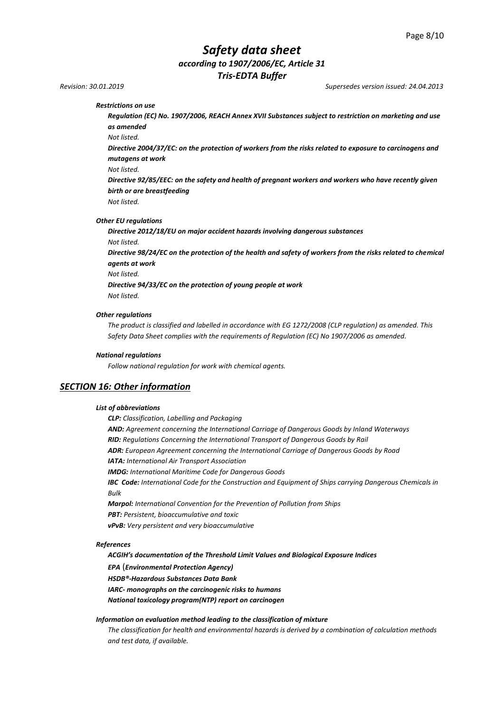*Revision: 30.01.2019 Supersedes version issued: 24.04.2013*

#### *Restrictions on use*

*Regulation (EC) No. 1907/2006, REACH Annex XVII Substances subject to restriction on marketing and use as amended*

*Not listed.*

*Directive 2004/37/EC: on the protection of workers from the risks related to exposure to carcinogens and mutagens at work*

*Not listed.*

*Directive 92/85/EEC: on the safety and health of pregnant workers and workers who have recently given birth or are breastfeeding*

*Not listed.*

#### *Other EU regulations*

*Directive 2012/18/EU on major accident hazards involving dangerous substances Not listed.* 

*Directive 98/24/EC on the protection of the health and safety of workers from the risks related to chemical agents at work* 

*Not listed.*

*Directive 94/33/EC on the protection of young people at work Not listed.*

#### *Other regulations*

*The product is classified and labelled in accordance with EG 1272/2008 (CLP regulation) as amended. This Safety Data Sheet complies with the requirements of Regulation (EC) No 1907/2006 as amended.*

#### *National regulations*

*Follow national regulation for work with chemical agents.*

## *SECTION 16: Other information*

#### *List of abbreviations*

*CLP: Classification, Labelling and Packaging AND: Agreement concerning the International Carriage of Dangerous Goods by Inland Waterways RID: Regulations Concerning the International Transport of Dangerous Goods by Rail ADR: European Agreement concerning the International Carriage of Dangerous Goods by Road IATA: International Air Transport Association IMDG: International Maritime Code for Dangerous Goods IBC Code: International Code for the Construction and Equipment of Ships carrying Dangerous Chemicals in Bulk Marpol: International Convention for the Prevention of Pollution from Ships PBT: Persistent, bioaccumulative and toxic vPvB: Very persistent and very bioaccumulative*

#### *References*

*ACGIH's documentation of the Threshold Limit Values and Biological Exposure Indices* 

*EPA* (*Environmental Protection Agency)*

*HSDB®-Hazardous Substances Data Bank*

*IARC- monographs on the carcinogenic risks to humans*

*National toxicology program(NTP) report on carcinogen*

#### *Information on evaluation method leading to the classification of mixture*

*The classification for health and environmental hazards is derived by a combination of calculation methods and test data, if available.*